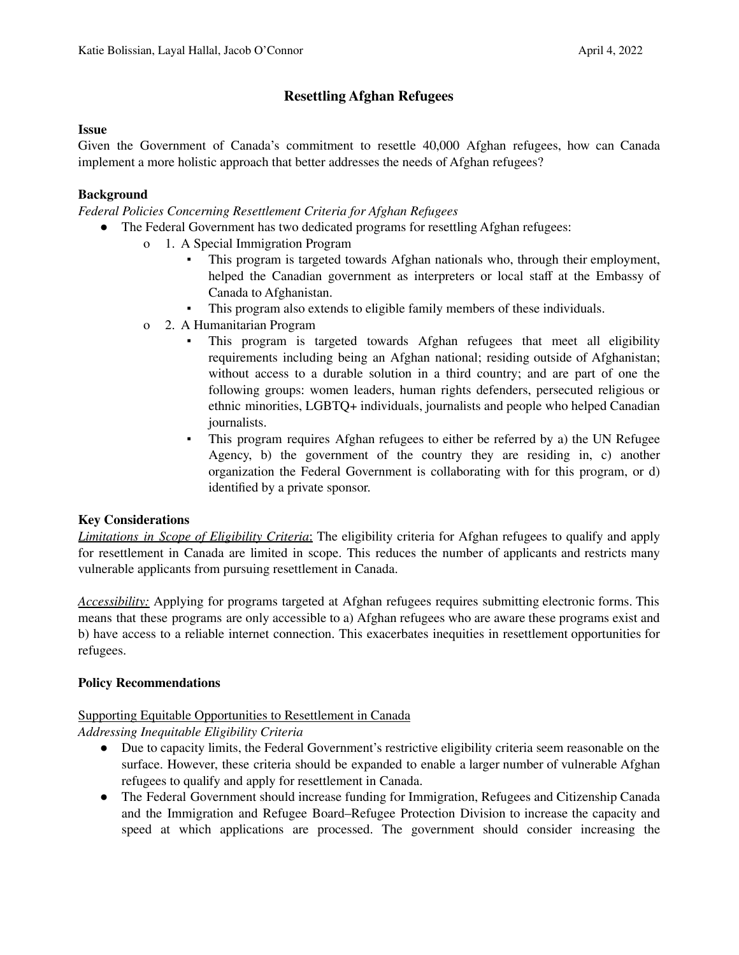# **Resettling Afghan Refugees**

#### **Issue**

Given the Government of Canada's commitment to resettle 40,000 Afghan refugees, how can Canada implement a more holistic approach that better addresses the needs of Afghan refugees?

### **Background**

*Federal Policies Concerning Resettlement Criteria for Afghan Refugees*

- The Federal Government has two dedicated programs for resettling Afghan refugees:
	- o 1. A Special Immigration Program
		- This program is targeted towards Afghan nationals who, through their employment, helped the Canadian government as interpreters or local staff at the Embassy of Canada to Afghanistan.
		- This program also extends to eligible family members of these individuals.
	- o 2. A Humanitarian Program
		- This program is targeted towards Afghan refugees that meet all eligibility requirements including being an Afghan national; residing outside of Afghanistan; without access to a durable solution in a third country; and are part of one the following groups: women leaders, human rights defenders, persecuted religious or ethnic minorities, LGBTQ+ individuals, journalists and people who helped Canadian journalists.
		- This program requires Afghan refugees to either be referred by a) the UN Refugee Agency, b) the government of the country they are residing in, c) another organization the Federal Government is collaborating with for this program, or d) identified by a private sponsor.

#### **Key Considerations**

*Limitations in Scope of Eligibility Criteria*: The eligibility criteria for Afghan refugees to qualify and apply for resettlement in Canada are limited in scope. This reduces the number of applicants and restricts many vulnerable applicants from pursuing resettlement in Canada.

*Accessibility:* Applying for programs targeted at Afghan refugees requires submitting electronic forms. This means that these programs are only accessible to a) Afghan refugees who are aware these programs exist and b) have access to a reliable internet connection. This exacerbates inequities in resettlement opportunities for refugees.

#### **Policy Recommendations**

# Supporting Equitable Opportunities to Resettlement in Canada

*Addressing Inequitable Eligibility Criteria*

- Due to capacity limits, the Federal Government's restrictive eligibility criteria seem reasonable on the surface. However, these criteria should be expanded to enable a larger number of vulnerable Afghan refugees to qualify and apply for resettlement in Canada.
- The Federal Government should increase funding for Immigration, Refugees and Citizenship Canada and the Immigration and Refugee Board–Refugee Protection Division to increase the capacity and speed at which applications are processed. The government should consider increasing the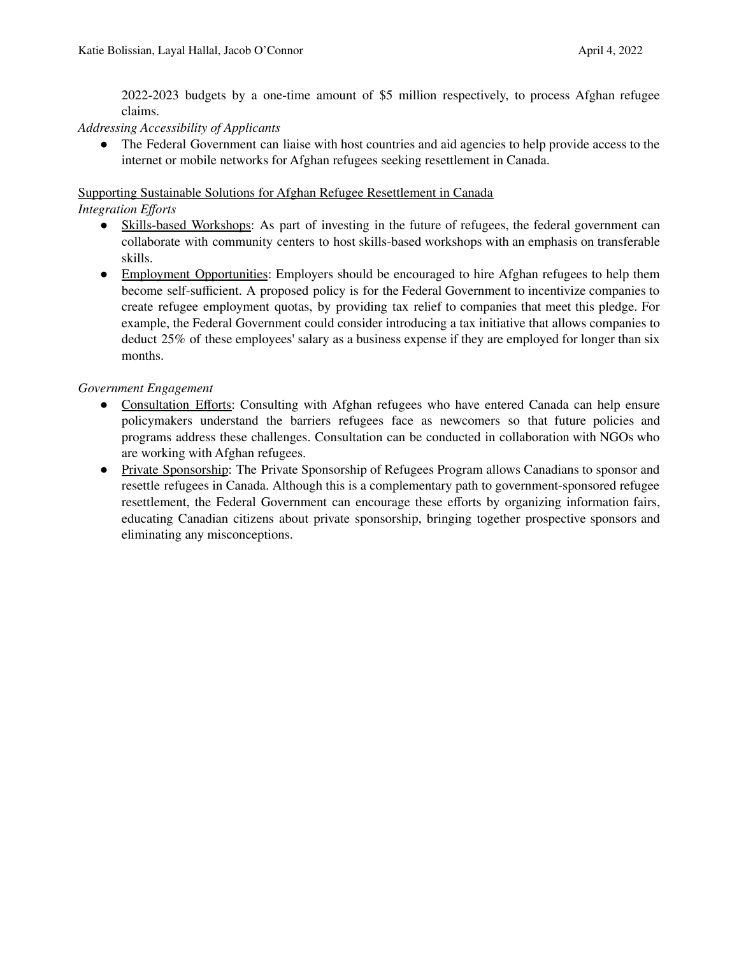2022-2023 budgets by a one-time amount of \$5 million respectively, to process Afghan refugee claims.

### *Addressing Accessibility of Applicants*

• The Federal Government can liaise with host countries and aid agencies to help provide access to the internet or mobile networks for Afghan refugees seeking resettlement in Canada.

### Supporting Sustainable Solutions for Afghan Refugee Resettlement in Canada

*Integration Efforts*

- Skills-based Workshops: As part of investing in the future of refugees, the federal government can collaborate with community centers to host skills-based workshops with an emphasis on transferable skills.
- Employment Opportunities: Employers should be encouraged to hire Afghan refugees to help them become self-sufficient. A proposed policy is for the Federal Government to incentivize companies to create refugee employment quotas, by providing tax relief to companies that meet this pledge. For example, the Federal Government could consider introducing a tax initiative that allows companies to deduct 25% of these employees' salary as a business expense if they are employed for longer than six months.

### *Government Engagement*

- Consultation Efforts: Consulting with Afghan refugees who have entered Canada can help ensure policymakers understand the barriers refugees face as newcomers so that future policies and programs address these challenges. Consultation can be conducted in collaboration with NGOs who are working with Afghan refugees.
- Private Sponsorship: The Private Sponsorship of Refugees Program allows Canadians to sponsor and resettle refugees in Canada. Although this is a complementary path to government-sponsored refugee resettlement, the Federal Government can encourage these efforts by organizing information fairs, educating Canadian citizens about private sponsorship, bringing together prospective sponsors and eliminating any misconceptions.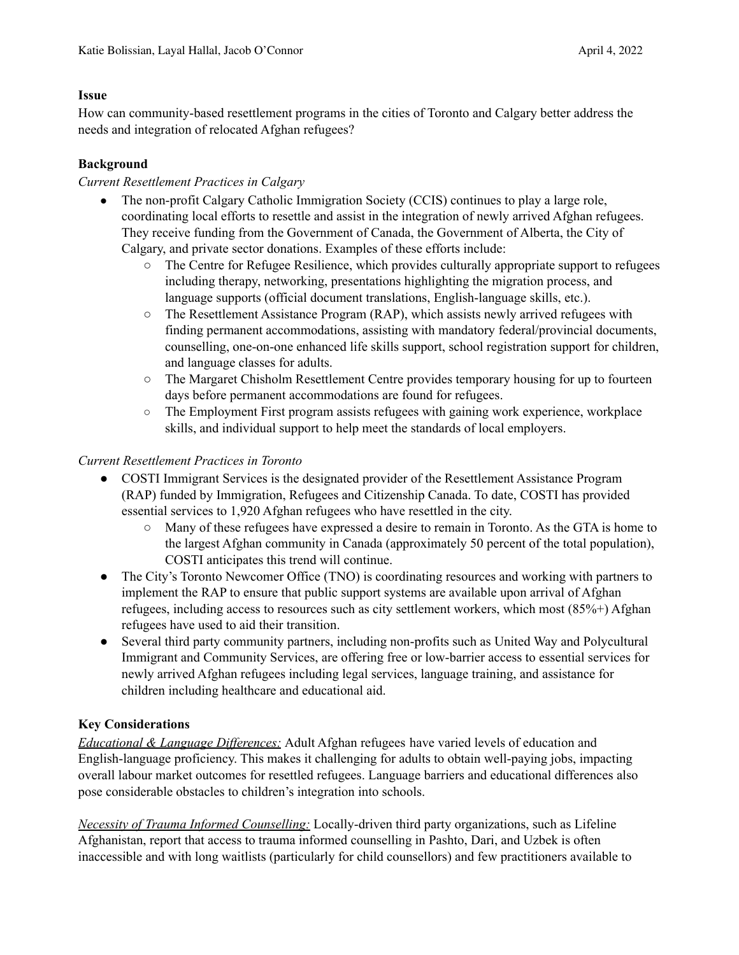### **Issue**

How can community-based resettlement programs in the cities of Toronto and Calgary better address the needs and integration of relocated Afghan refugees?

# **Background**

# *Current Resettlement Practices in Calgary*

- The non-profit Calgary Catholic Immigration Society (CCIS) continues to play a large role, coordinating local efforts to resettle and assist in the integration of newly arrived Afghan refugees. They receive funding from the Government of Canada, the Government of Alberta, the City of Calgary, and private sector donations. Examples of these efforts include:
	- The Centre for Refugee Resilience, which provides culturally appropriate support to refugees including therapy, networking, presentations highlighting the migration process, and language supports (official document translations, English-language skills, etc.).
	- $\circ$  The Resettlement Assistance Program (RAP), which assists newly arrived refugees with finding permanent accommodations, assisting with mandatory federal/provincial documents, counselling, one-on-one enhanced life skills support, school registration support for children, and language classes for adults.
	- The Margaret Chisholm Resettlement Centre provides temporary housing for up to fourteen days before permanent accommodations are found for refugees.
	- The Employment First program assists refugees with gaining work experience, workplace skills, and individual support to help meet the standards of local employers.

# *Current Resettlement Practices in Toronto*

- COSTI Immigrant Services is the designated provider of the Resettlement Assistance Program (RAP) funded by Immigration, Refugees and Citizenship Canada. To date, COSTI has provided essential services to 1,920 Afghan refugees who have resettled in the city.
	- Many of these refugees have expressed a desire to remain in Toronto. As the GTA is home to the largest Afghan community in Canada (approximately 50 percent of the total population), COSTI anticipates this trend will continue.
- The City's Toronto Newcomer Office (TNO) is coordinating resources and working with partners to implement the RAP to ensure that public support systems are available upon arrival of Afghan refugees, including access to resources such as city settlement workers, which most (85%+) Afghan refugees have used to aid their transition.
- Several third party community partners, including non-profits such as United Way and Polycultural Immigrant and Community Services, are offering free or low-barrier access to essential services for newly arrived Afghan refugees including legal services, language training, and assistance for children including healthcare and educational aid.

# **Key Considerations**

*Educational & Language Dif erences:* Adult Afghan refugees have varied levels of education and English-language proficiency. This makes it challenging for adults to obtain well-paying jobs, impacting overall labour market outcomes for resettled refugees. Language barriers and educational differences also pose considerable obstacles to children's integration into schools.

*Necessity of Trauma Informed Counselling:* Locally-driven third party organizations, such as Lifeline Afghanistan, report that access to trauma informed counselling in Pashto, Dari, and Uzbek is often inaccessible and with long waitlists (particularly for child counsellors) and few practitioners available to